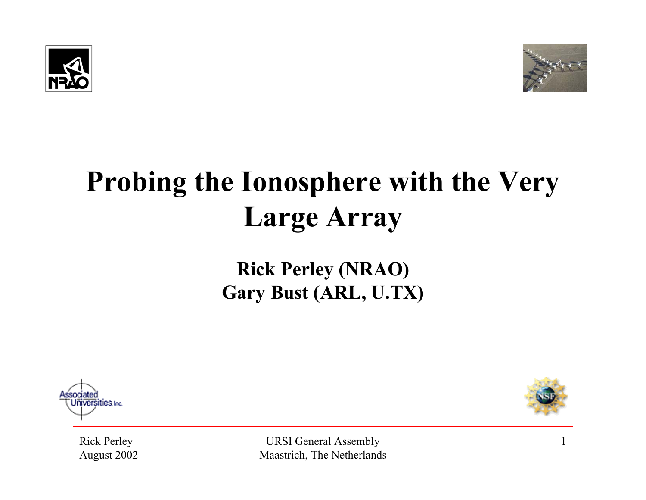



## **Probing the Ionosphere with the Very Large Array**

#### **Rick Perley (NRAO) Gary Bust (ARL, U.TX)**





Rick Perley August 2002

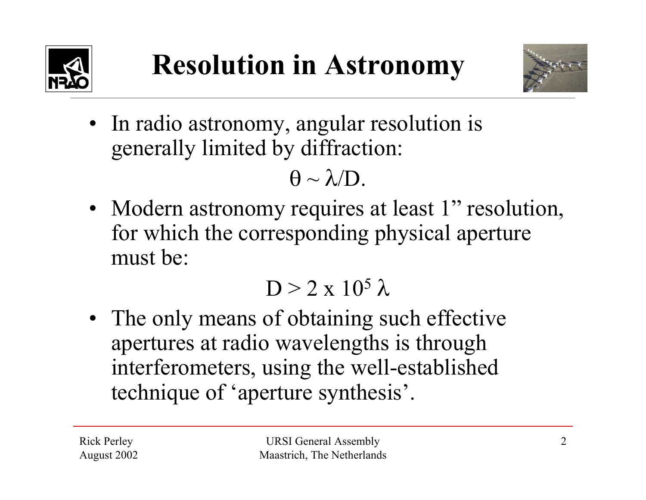



• In radio astronomy, angular resolution is generally limited by diffraction:

 $\Theta \sim \lambda / \mathrm{D}.$ 

• Modern astronomy requires at least 1" resolution, for which the corresponding physical aperture must be:

#### $D > 2 \times 10^5 \lambda$

• The only means of obtaining such effective apertures at radio wavelengths is through interferometers, using the well-established technique of 'aperture synthesis'.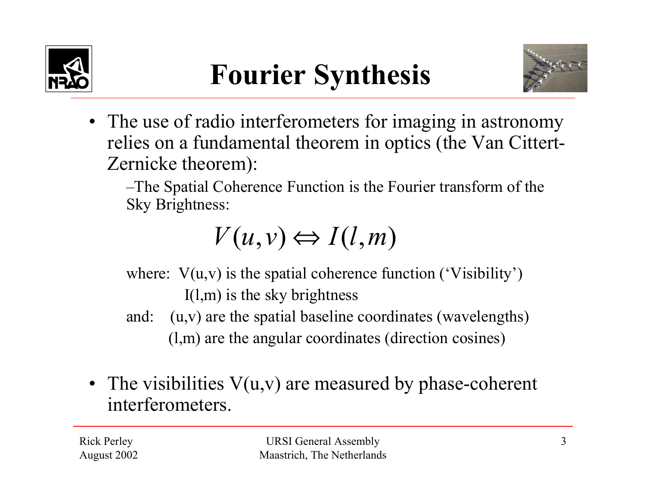





• The use of radio interferometers for imaging in astronomy relies on a fundamental theorem in optics (the Van Cittert-Zernicke theorem):

–The Spatial Coherence Function is the Fourier transform of the Sky Brightness:

 $V(u, v) \Leftrightarrow I(l, m)$ 

where:  $V(u, v)$  is the spatial coherence function ('Visibility') I(l,m) is the sky brightness

- and: (u,v) are the spatial baseline coordinates (wavelengths) (l,m) are the angular coordinates (direction cosines)
- The visibilities V(u,v) are measured by phase-coherent interferometers.

Rick Perley August 2002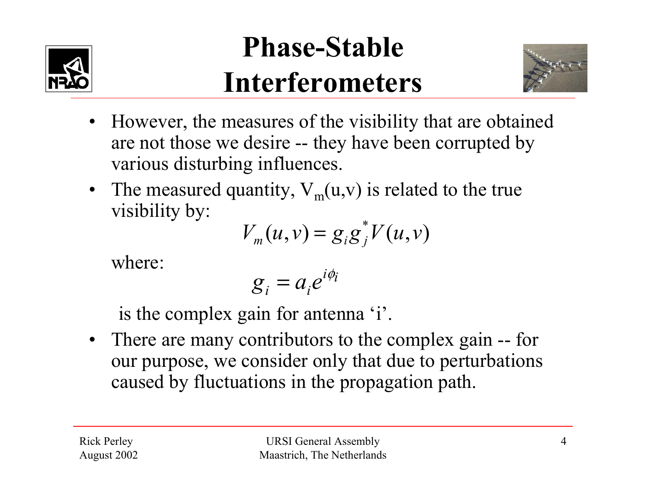

#### **Phase-Stable Interferometers**



- However, the measures of the visibility that are obtained are not those we desire -- they have been corrupted by various disturbing influences.
- The measured quantity,  $V_m(u,v)$  is related to the true visibility by:

$$
V_m(u,v) = g_i g_j^* V(u,v)
$$

where:

$$
g_i = a_i e^{i\phi_i}
$$

is the complex gain for antenna 'i'.

• There are many contributors to the complex gain -- for our purpose, we consider only that due to perturbations caused by fluctuations in the propagation path.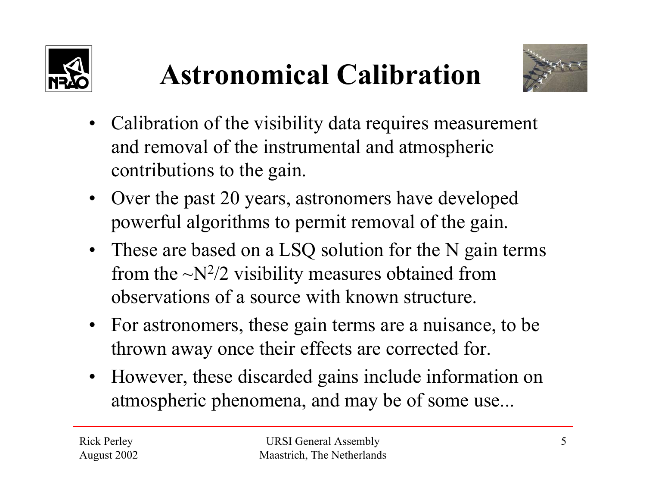





- Calibration of the visibility data requires measurement and removal of the instrumental and atmospheric contributions to the gain.
- $\bullet$  Over the past 20 years, astronomers have developed powerful algorithms to permit removal of the gain.
- These are based on a LSQ solution for the N gain terms from the  $\sim N^2/2$  visibility measures obtained from observations of a source with known structure.
- For astronomers, these gain terms are a nuisance, to be thrown away once their effects are corrected for.
- • However, these discarded gains include information on atmospheric phenomena, and may be of some use...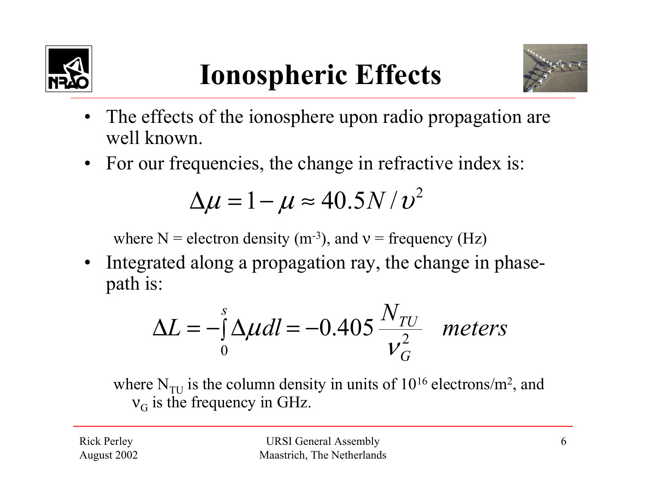

## **Ionospheric Effects**



- • The effects of the ionosphere upon radio propagation are well known.
- For our frequencies, the change in refractive index is:

$$
\Delta \mu = 1 - \mu \approx 40.5 N/v^2
$$

where N = electron density (m<sup>-3</sup>), and  $v =$  frequency (Hz)

• Integrated along a propagation ray, the change in phasepath is:

$$
\Delta L = -\int_{0}^{s} \Delta \mu dl = -0.405 \frac{N_{TU}}{v_G^2} \quad meters
$$

where  $N_{\text{TU}}$  is the column density in units of  $10^{16}$  electrons/m<sup>2</sup>, and  $v_G$  is the frequency in GHz.

Rick Perley August 2002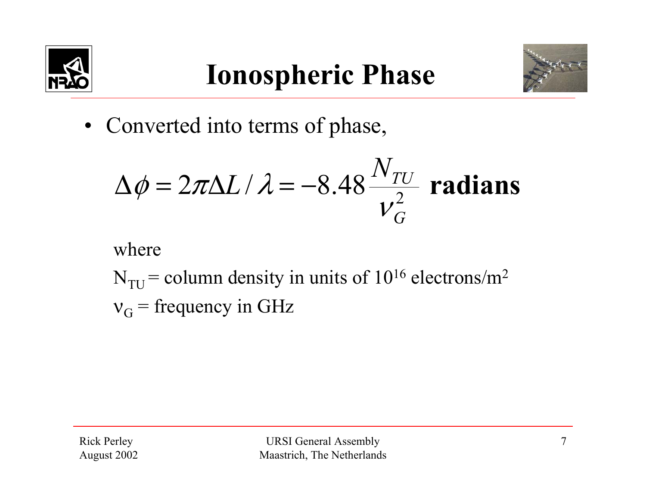



• Converted into terms of phase,

$$
\Delta \phi = 2\pi \Delta L / \lambda = -8.48 \frac{N_{TU}}{V_G^2}
$$
 radians

where

 $N<sub>TI</sub>$  = column density in units of 10<sup>16</sup> electrons/m<sup>2</sup>  $v_G$  = frequency in GHz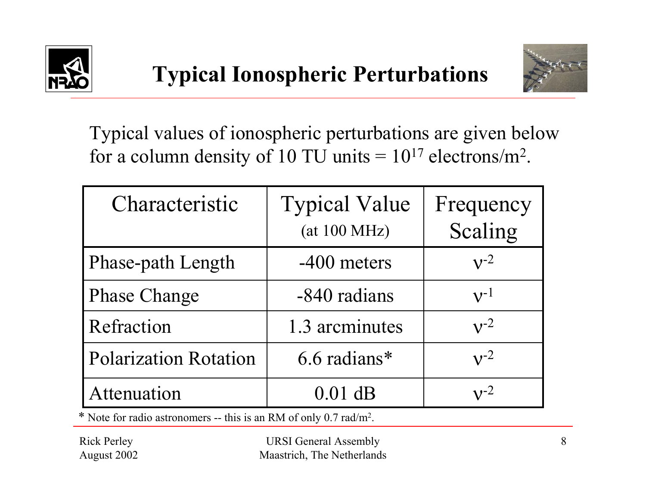



Typical values of ionospheric perturbations are given below for a column density of 10 TU units  $= 10^{17}$  electrons/m<sup>2</sup>.

| Characteristic               | <b>Typical Value</b><br>(at 100 MHz) | Frequency<br>Scaling |
|------------------------------|--------------------------------------|----------------------|
| <b>Phase-path Length</b>     | -400 meters                          | $v^{-2}$             |
| <b>Phase Change</b>          | -840 radians                         | $v^{-1}$             |
| Refraction                   | 1.3 arcminutes                       | $v^{-2}$             |
| <b>Polarization Rotation</b> | 6.6 radians*                         | $v^{-2}$             |
| Attenuation                  | $0.01$ dB                            | $\mathbf{v}$ -2      |

\* Note for radio astronomers -- this is an RM of only 0.7 rad/m2.

Rick Perley August 2002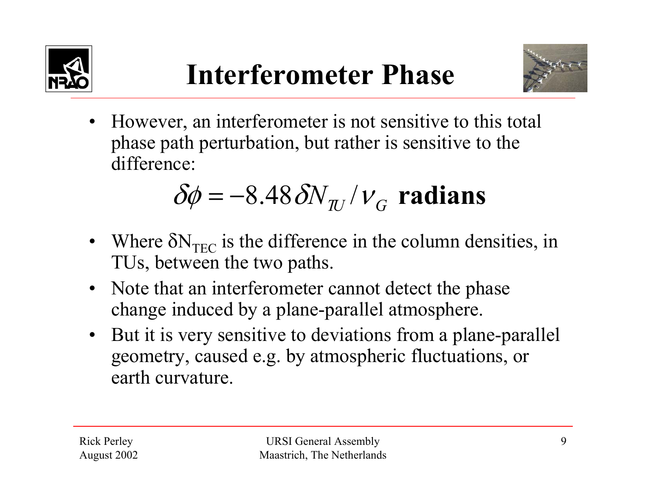



• However, an interferometer is not sensitive to this total phase path perturbation, but rather is sensitive to the difference:

$$
\delta\phi = -8.48 \, \delta\!N_{\pi} / v_{\rm G}
$$
 radians

- Where  $\delta N_{TEC}$  is the difference in the column densities, in TUs, between the two paths.
- Note that an interferometer cannot detect the phase change induced by a plane-parallel atmosphere.
- But it is very sensitive to deviations from a plane-parallel geometry, caused e.g. by atmospheric fluctuations, or earth curvature.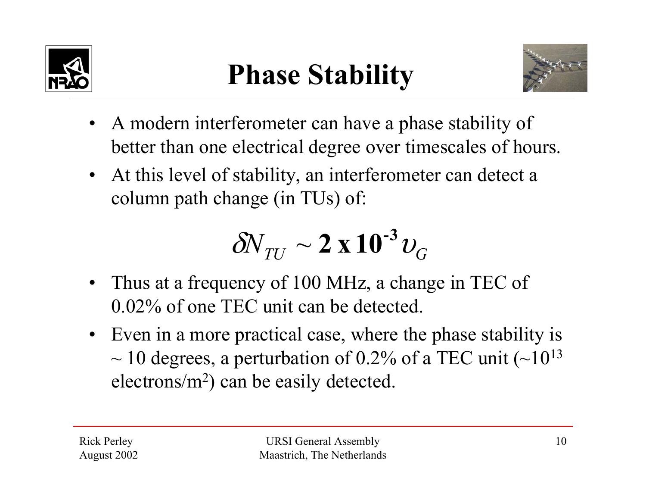

## **Phase Stability**



- A modern interferometer can have a phase stability of better than one electrical degree over timescales of hours.
- At this level of stability, an interferometer can detect a column path change (in TUs) of:

$$
\delta N_{TU} \sim 2 \times 10^{-3} \nu_G
$$

- Thus at a frequency of 100 MHz, a change in TEC of 0.02% of one TEC unit can be detected.
- Even in a more practical case, where the phase stability is  $\sim$  10 degrees, a perturbation of 0.2% of a TEC unit ( $\sim$ 10<sup>13</sup>) electrons/m2) can be easily detected.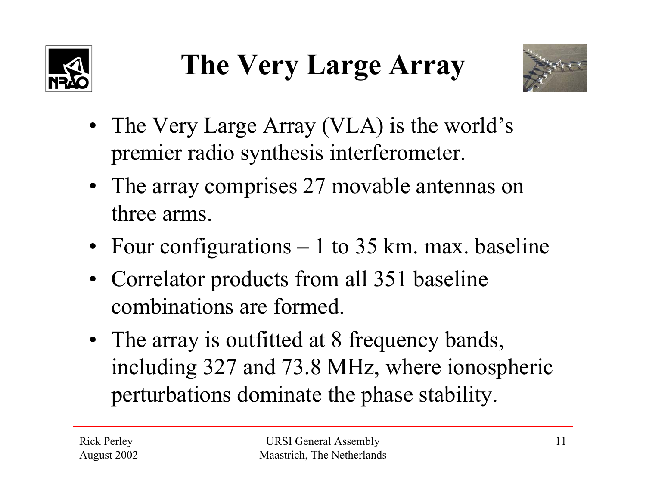



- The Very Large Array (VLA) is the world's premier radio synthesis interferometer.
- The array comprises 27 movable antennas on three arms.
- Four configurations 1 to 35 km. max. baseline
- Correlator products from all 351 baseline combinations are formed.
- The array is outfitted at 8 frequency bands, including 327 and 73.8 MHz, where ionospheric perturbations dominate the phase stability.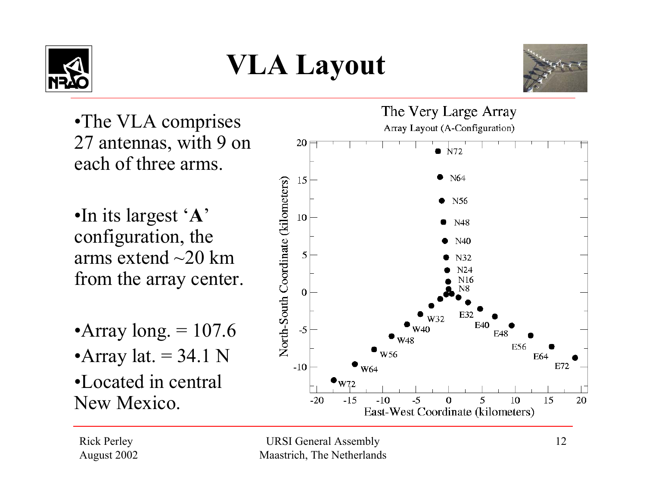

## **VLA Layout**



•The VLA comprises 27 antennas, with 9 on each of three arms.

•In its largest '**A**' configuration, the arms extend  $\sim$ 20 km from the array center.

- •Array long.  $= 107.6$
- •Array lat.  $= 34.1$  N

•Located in central New Mexico.



Rick Perley August 2002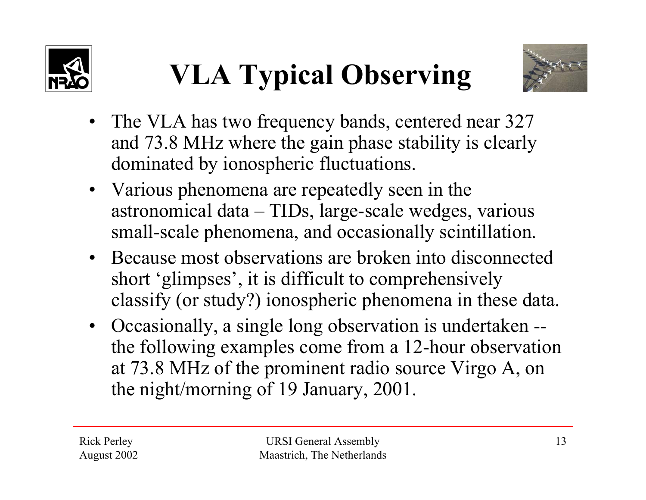



- The VLA has two frequency bands, centered near 327 and 73.8 MHz where the gain phase stability is clearly dominated by ionospheric fluctuations.
- Various phenomena are repeatedly seen in the astronomical data – TIDs, large-scale wedges, various small-scale phenomena, and occasionally scintillation.
- Because most observations are broken into disconnected short 'glimpses', it is difficult to comprehensively classify (or study?) ionospheric phenomena in these data.
- Occasionally, a single long observation is undertaken the following examples come from a 12-hour observation at 73.8 MHz of the prominent radio source Virgo A, on the night/morning of 19 January, 2001.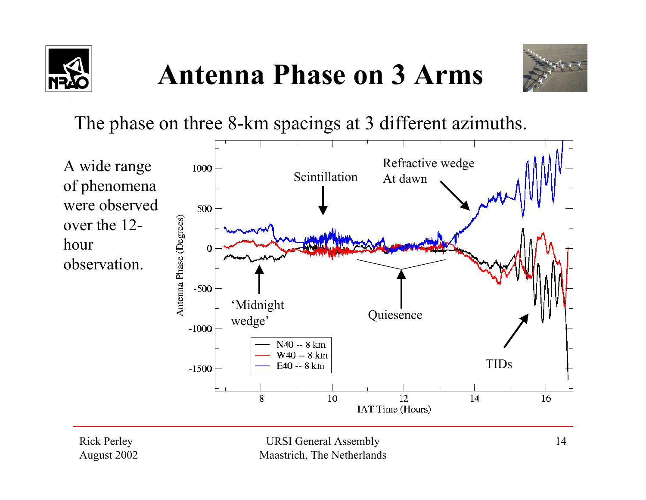





The phase on three 8-km spacings at 3 different azimuths.



Rick Perley August 2002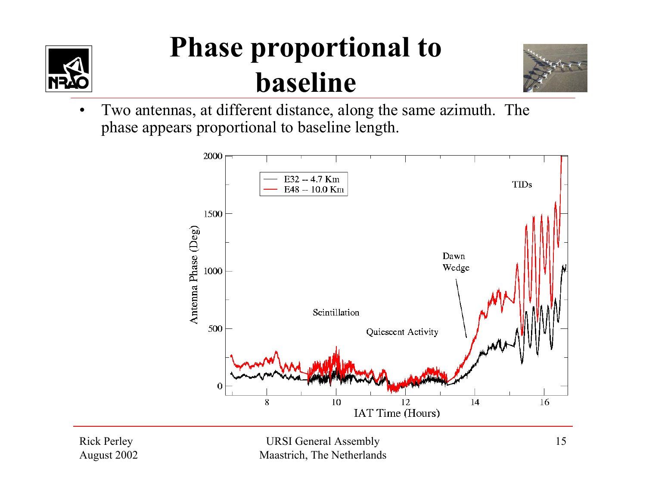

### **Phase proportional to baseline**



• Two antennas, at different distance, along the same azimuth. The phase appears proportional to baseline length.



Rick Perley August 2002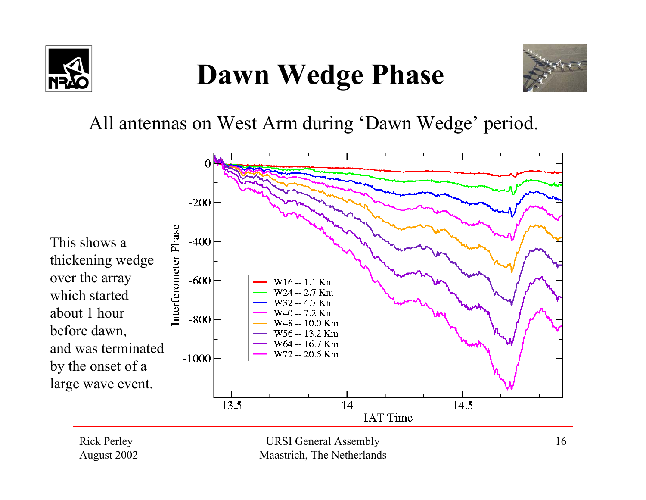

## **Dawn Wedge Phase**



All antennas on West Arm during 'Dawn Wedge' period.



Rick Perley August 2002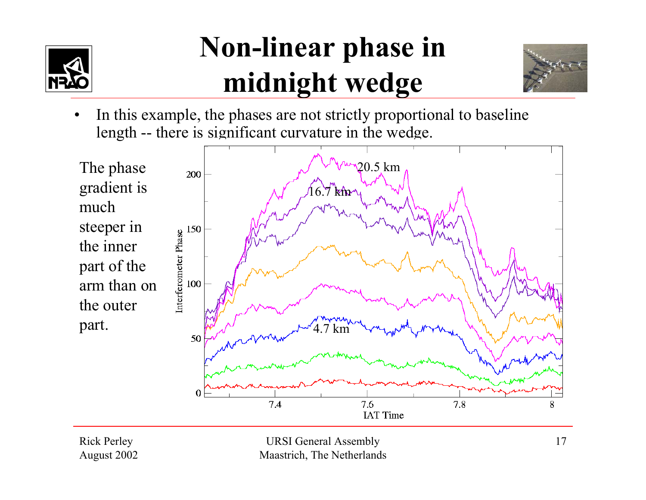

#### **Non-linear phase in midnight wedge**



• In this example, the phases are not strictly proportional to baseline length -- there is significant curvature in the wedge.



Rick Perley August 2002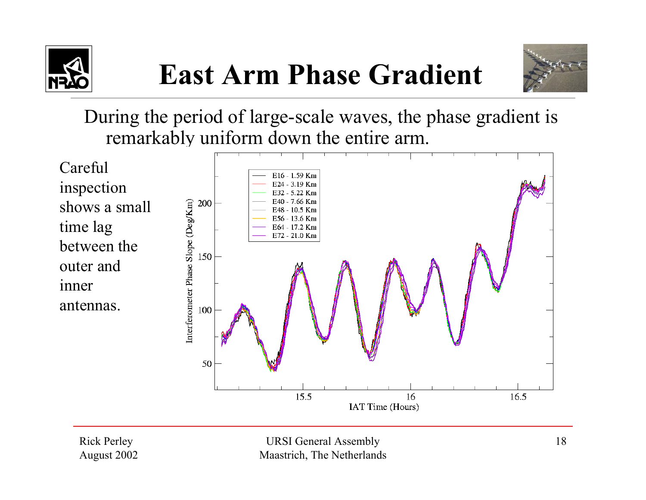





During the period of large-scale waves, the phase gradient is remarkably uniform down the entire arm.



Rick Perley August 2002

URSI General Assembly Maastrich, The Netherlands

IAT Time (Hours)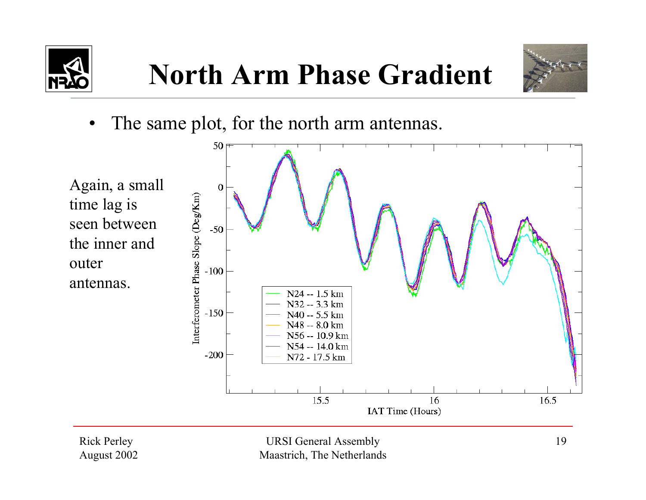



 $\bullet$ The same plot, for the north arm antennas.



Rick Perley August 2002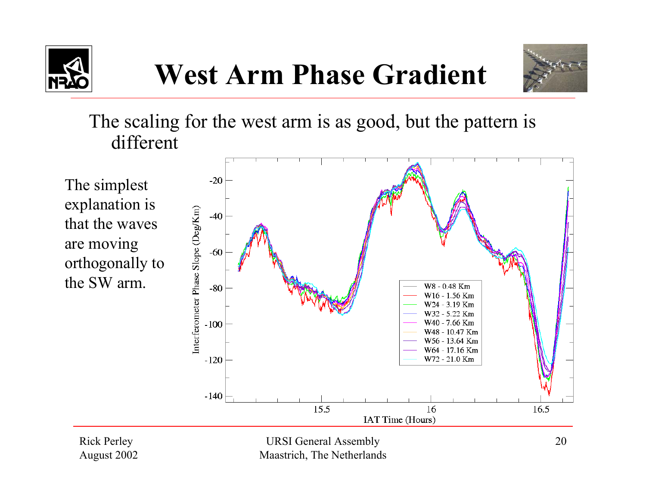



The scaling for the west arm is as good, but the pattern is different

The simplest explanation is that the waves are moving orthogonally to the SW arm.



Rick Perley August 2002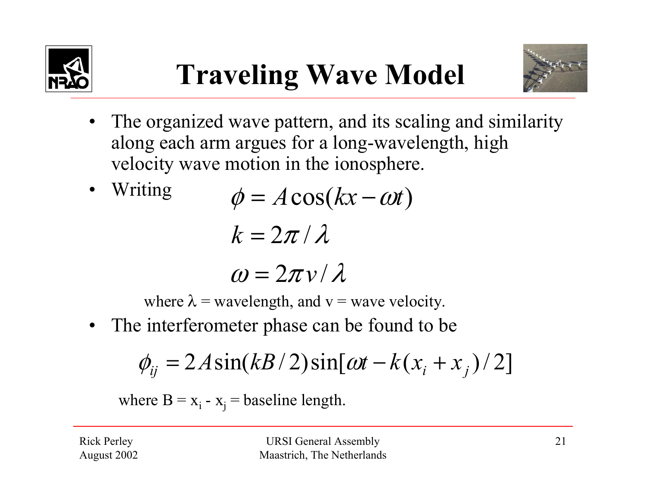



- The organized wave pattern, and its scaling and similarity along each arm argues for a long-wavelength, high velocity wave motion in the ionosphere.
- • Writing  $\omega = 2\pi v/\lambda$  $k = 2\pi / \lambda$  $\phi = A \cos(kx - \omega t)$

where  $\lambda$  = wavelength, and  $v$  = wave velocity.

• The interferometer phase can be found to be

$$
\phi_{ij} = 2A\sin(kB/2)\sin[\omega t - k(x_i + x_j)/2]
$$

where  $B = x_i - x_j =$  baseline length.

Rick Perley August 2002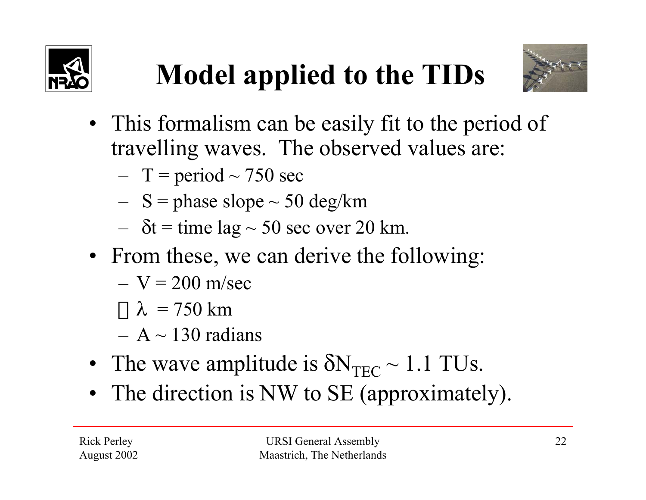





- This formalism can be easily fit to the period of travelling waves. The observed values are:
	- – $- T$  = period  $\sim$  750 sec
	- – $-$  S = phase slope  $\sim$  50 deg/km
	- – $- \delta t =$  time lag  $\sim$  50 sec over 20 km.
- From these, we can derive the following:
	- $-$  V = 200 m/sec
	- $\bigcap \lambda$  = 750 km
	- $-$  A  $\sim$  130 radians
- •• The wave amplitude is  $\delta N_{TEC} \sim 1.1$  TUs.
- The direction is NW to SE (approximately).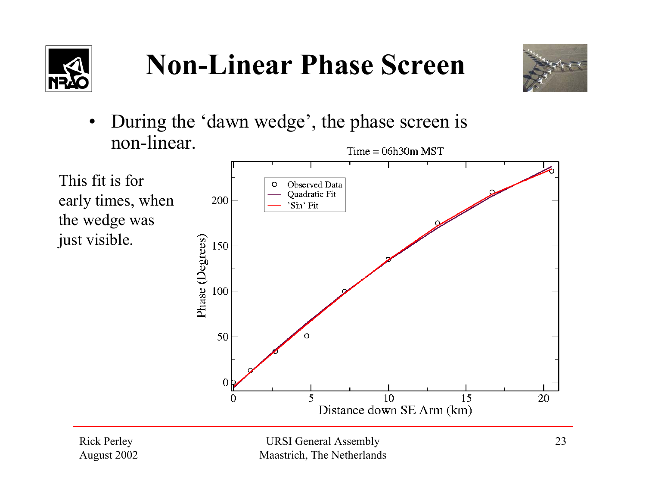



 During the 'dawn wedge', the phase screen is •non-linear.  $Time = 06h30m$  MST





Rick Perley August 2002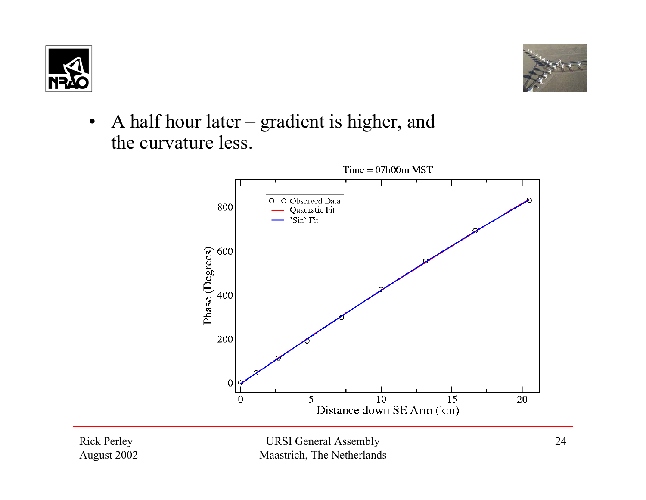



•• A half hour later – gradient is higher, and the curvature less.



Rick Perley August 2002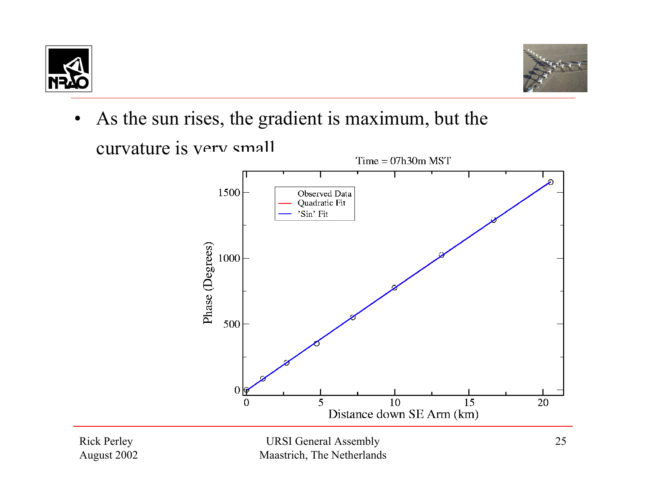



 As the sun rises, the gradient is maximum, but the •curvature is very small.  $Time = 07h30m MST$ 



Rick Perley August 2002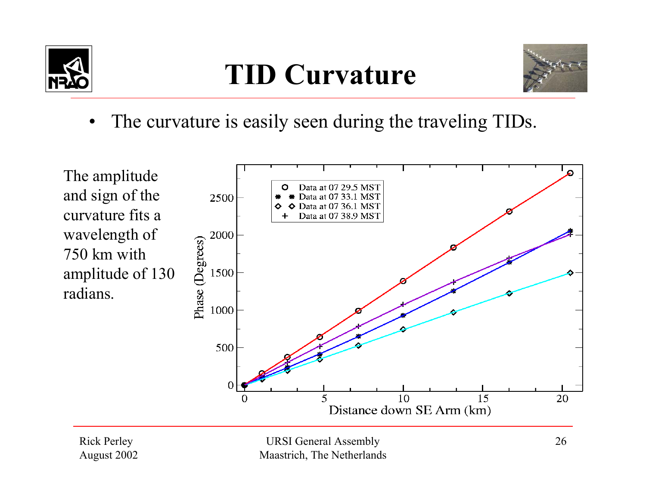

## **TID Curvature**



• The curvature is easily seen during the traveling TIDs.



Rick Perley August 2002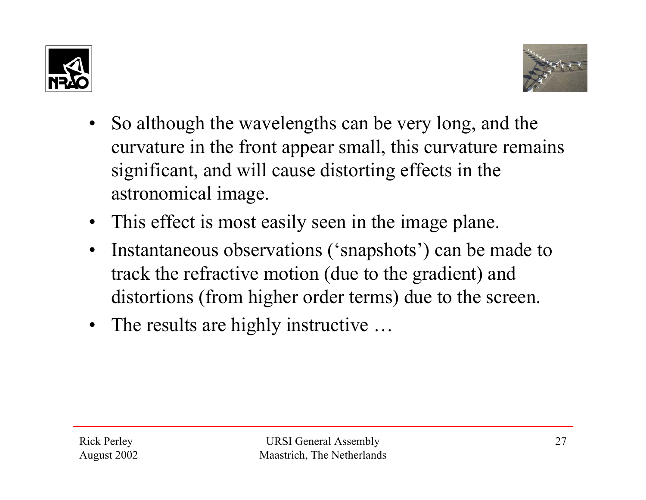



- So although the wavelengths can be very long, and the curvature in the front appear small, this curvature remains significant, and will cause distorting effects in the astronomical image.
- This effect is most easily seen in the image plane.
- • Instantaneous observations ('snapshots') can be made to track the refractive motion (due to the gradient) and distortions (from higher order terms) due to the screen.
- The results are highly instructive ...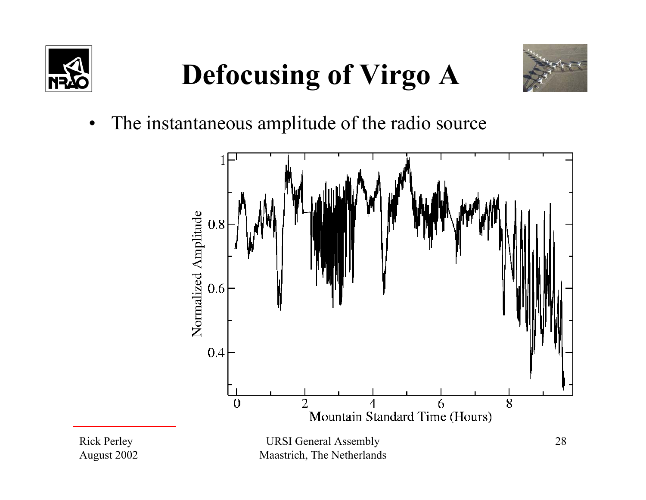



•The instantaneous amplitude of the radio source

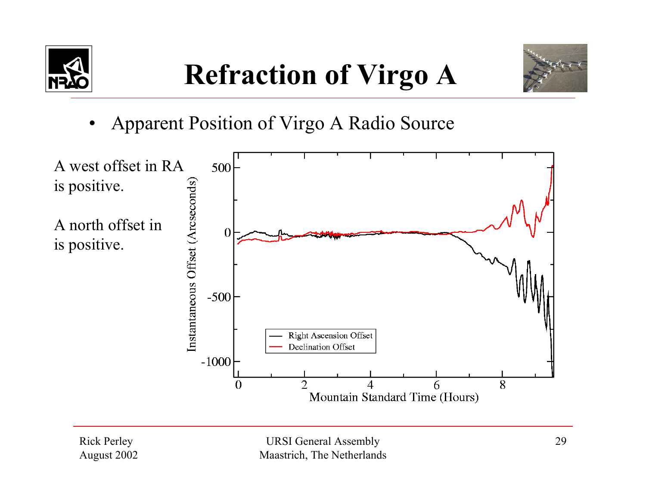



•Apparent Position of Virgo A Radio Source



Rick Perley August 2002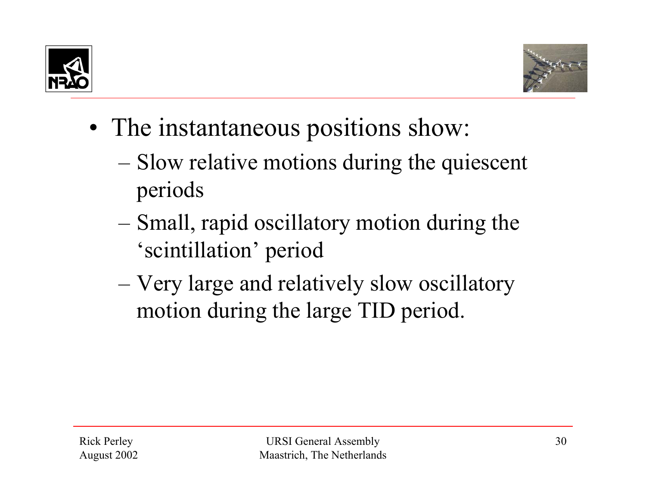



- The instantaneous positions show:
	- Slow relative motions during the quiescent periods
	- Small, rapid oscillatory motion during the 'scintillation' period
	- Very large and relatively slow oscillatory motion during the large TID period.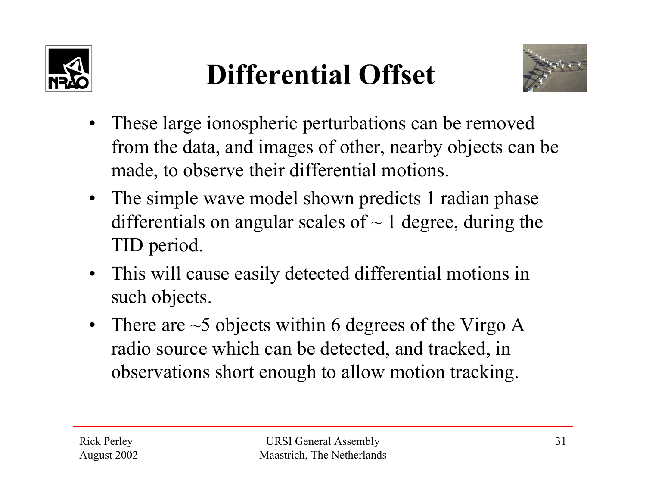



- These large ionospheric perturbations can be removed from the data, and images of other, nearby objects can be made, to observe their differential motions.
- The simple wave model shown predicts 1 radian phase differentials on angular scales of  $\sim$  1 degree, during the TID period.
- This will cause easily detected differential motions in such objects.
- There are  $\sim$  5 objects within 6 degrees of the Virgo A radio source which can be detected, and tracked, in observations short enough to allow motion tracking.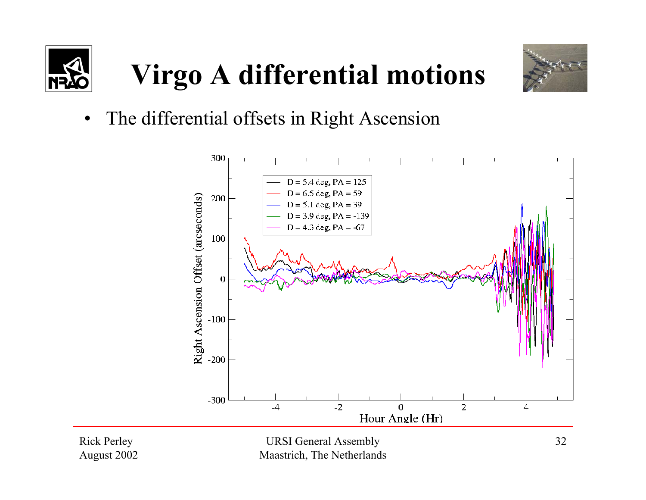

# **Virgo A differential motions**



•The differential offsets in Right Ascension



Rick Perley August 2002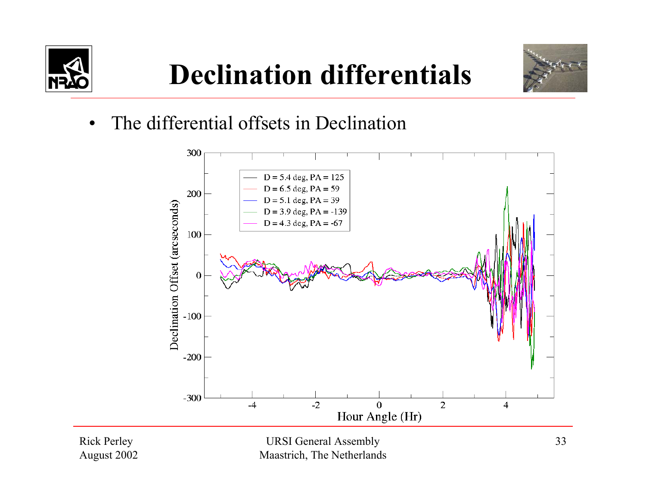

## **Declination differentials**



•The differential offsets in Declination



Rick Perley August 2002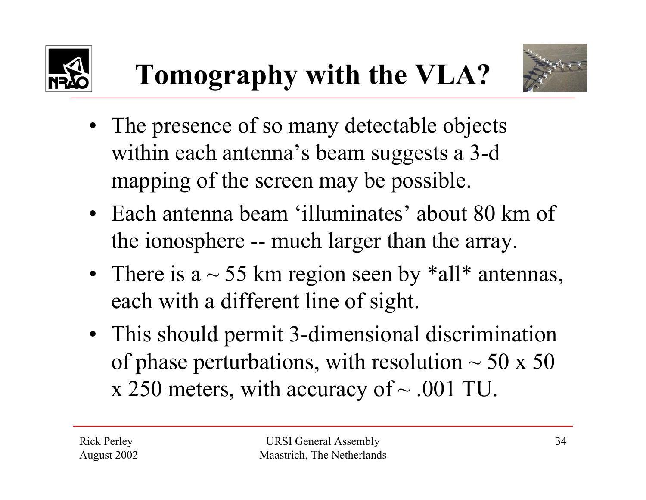



• The presence of so many detectable objects within each antenna's beam suggests a 3-d

**Tomography with the VLA?**

- mapping of the screen may be possible.
- Each antenna beam 'illuminates' about 80 km of the ionosphere -- much larger than the array.
- There is a  $\sim$  55 km region seen by \*all\* antennas, each with a different line of sight.
- This should permit 3-dimensional discrimination of phase perturbations, with resolution  $\sim$  50 x 50 x 250 meters, with accuracy of  $\sim$  .001 TU.